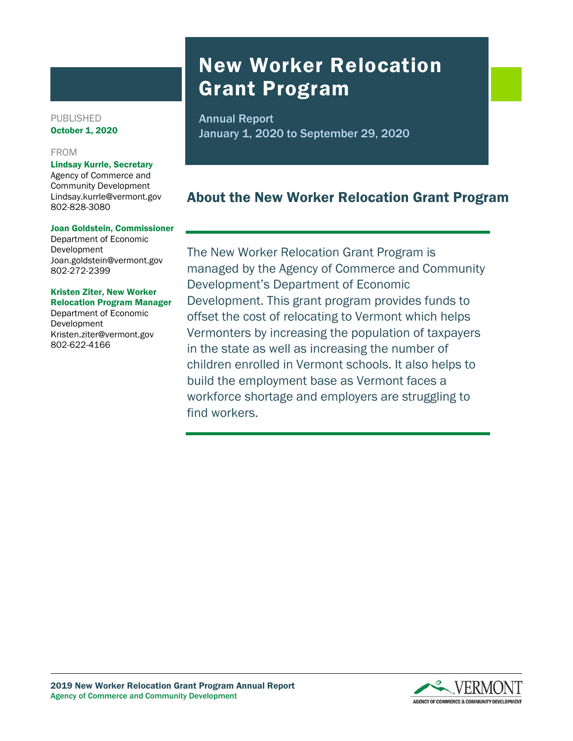# New Worker Relocation Grant Program

Annual Report January 1, 2020 to September 29, 2020

# About the New Worker Relocation Grant Program

The New Worker Relocation Grant Program is managed by the Agency of Commerce and Community Development's Department of Economic Development. This grant program provides funds to offset the cost of relocating to Vermont which helps Vermonters by increasing the population of taxpayers in the state as well as increasing the number of children enrolled in Vermont schools. It also helps to build the employment base as Vermont faces a workforce shortage and employers are struggling to find workers.

PUBLISHED October 1, 2020

#### FROM

#### Lindsay Kurrle, Secretary

Agency of Commerce and Community Development Lindsay.kurrle@vermont.gov 802-828-3080

#### Joan Goldstein, Commissioner

Department of Economic Development Joan.goldstein@vermont.gov 802-272-2399

#### Kristen Ziter, New Worker Relocation Program Manager

Department of Economic Development Kristen.ziter@vermont.gov 802-622-4166

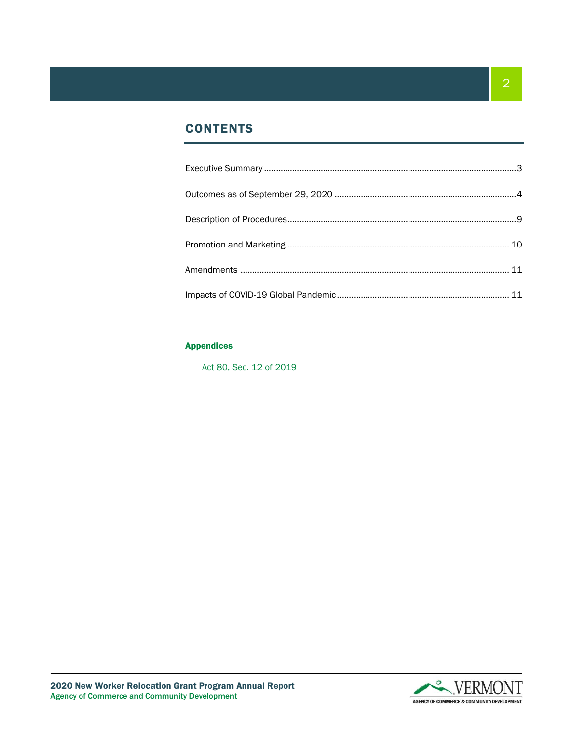# **CONTENTS**

#### Appendices

Act 80, Sec. 12 of 2019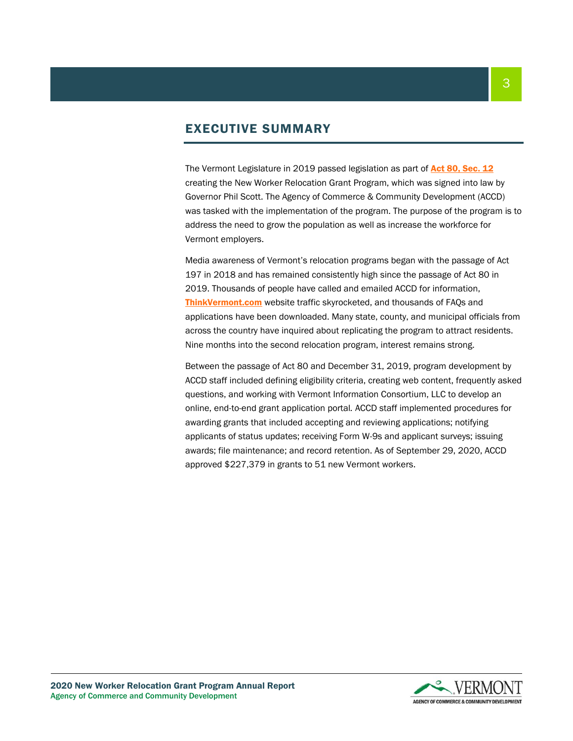# EXECUTIVE SUMMARY

The Vermont Legislature in 2019 passed legislation as part of [Act 80, Sec. 12](https://legislature.vermont.gov/Documents/2020/Docs/ACTS/ACT080/ACT080%20As%20Enacted.pdf) creating the New Worker Relocation Grant Program, which was signed into law by Governor Phil Scott. The Agency of Commerce & Community Development (ACCD) was tasked with the implementation of the program. The purpose of the program is to address the need to grow the population as well as increase the workforce for Vermont employers.

Media awareness of Vermont's relocation programs began with the passage of Act 197 in 2018 and has remained consistently high since the passage of Act 80 in 2019. Thousands of people have called and emailed ACCD for information, [ThinkVermont.com](http://www.thinkvermont.com/) website traffic skyrocketed, and thousands of FAQs and applications have been downloaded. Many state, county, and municipal officials from across the country have inquired about replicating the program to attract residents. Nine months into the second relocation program, interest remains strong.

Between the passage of Act 80 and December 31, 2019, program development by ACCD staff included defining eligibility criteria, creating web content, frequently asked questions, and working with Vermont Information Consortium, LLC to develop an online, end-to-end grant application portal*.* ACCD staff implemented procedures for awarding grants that included accepting and reviewing applications; notifying applicants of status updates; receiving Form W-9s and applicant surveys; issuing awards; file maintenance; and record retention. As of September 29, 2020, ACCD approved \$227,379 in grants to 51 new Vermont workers.

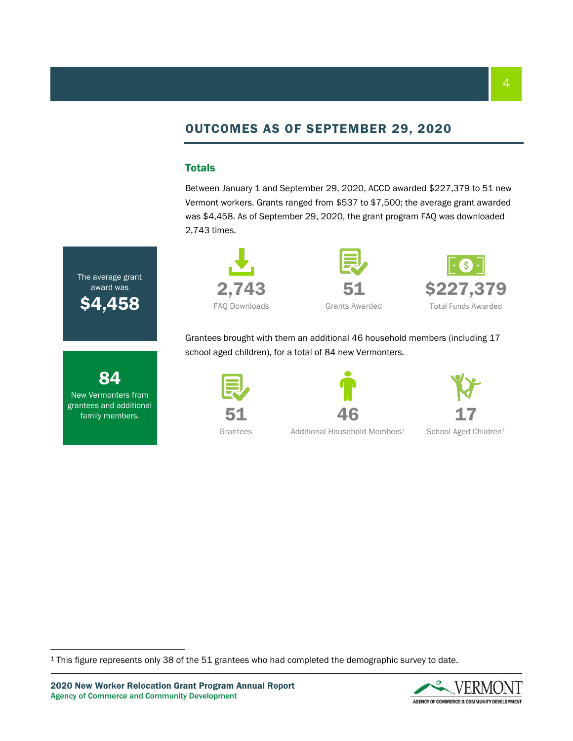# OUTCOMES AS OF SEPTEMBER 29, 2020

#### Totals

The average grant award was

**S4.45** 

84 New Vermonters from grantees and additional family members.

Between January 1 and September 29, 2020, ACCD awarded \$227,379 to 51 new Vermont workers. Grants ranged from \$537 to \$7,500; the average grant awarded was \$4,458. As of September 29, 2020, the grant program FAQ was downloaded 2,743 times.





\$227,379 Total Funds Awarded

Grantees brought with them an additional 46 household members (including 17 school aged children), for a total of 84 new Vermonters.





46

17

School Aged Children<sup>1</sup>

Grantees

Additional Household Members<sup>1</sup>

<sup>1</sup> This figure represents only 38 of the 51 grantees who had completed the demographic survey to date.

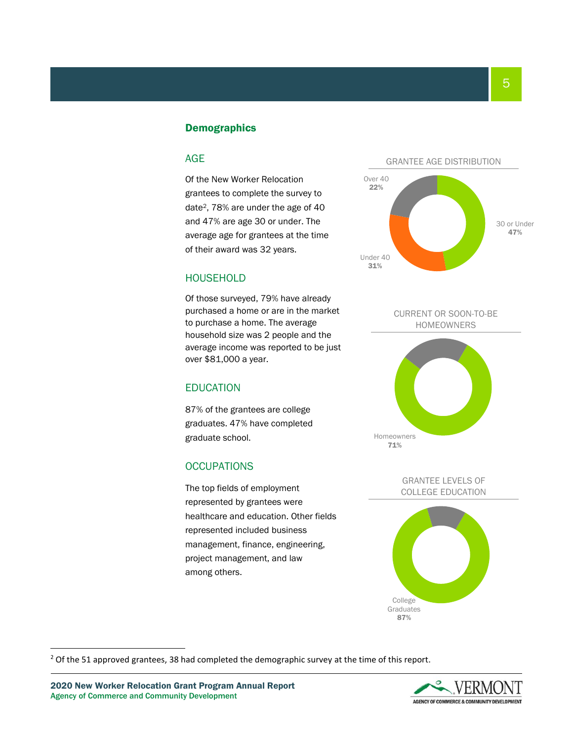#### **Demographics**

#### AGE

Of the New Worker Relocation grantees to complete the survey to date2, 78% are under the age of 40 and 47% are age 30 or under. The average age for grantees at the time of their award was 32 years.

#### **HOUSEHOLD**

Of those surveyed, 79% have already purchased a home or are in the market to purchase a home. The average household size was 2 people and the average income was reported to be just over \$81,000 a year.

#### EDUCATION

87% of the grantees are college graduates. 47% have completed graduate school.

#### **OCCUPATIONS**

The top fields of employment represented by grantees were healthcare and education. Other fields represented included business management, finance, engineering, project management, and law among others.











GRANTEE LEVELS OF COLLEGE EDUCATION



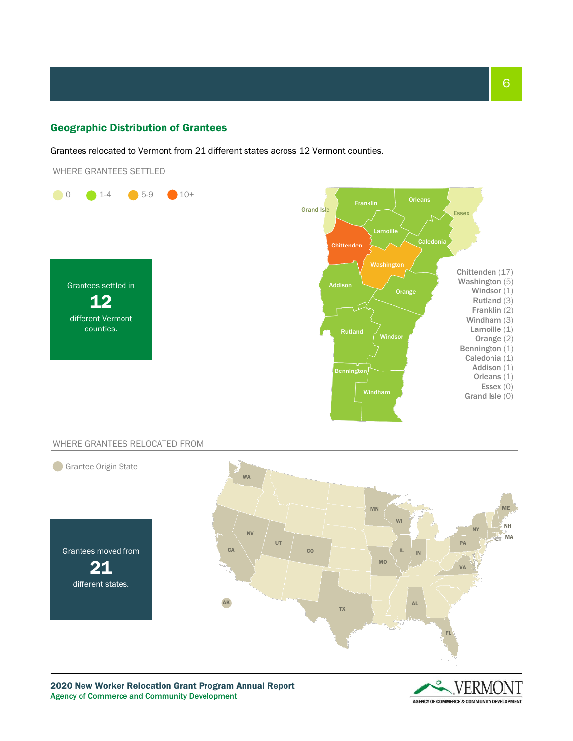#### Geographic Distribution of Grantees

Grantees relocated to Vermont from 21 different states across 12 Vermont counties.





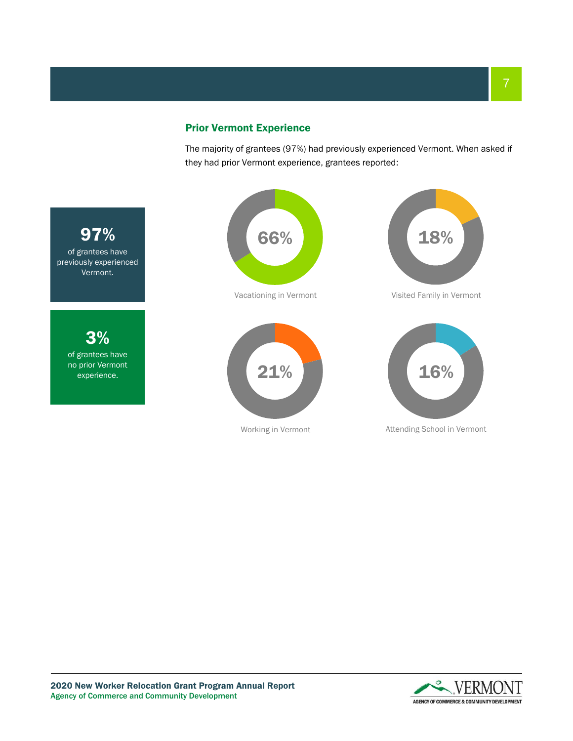### Prior Vermont Experience

The majority of grantees (97%) had previously experienced Vermont. When asked if they had prior Vermont experience, grantees reported:



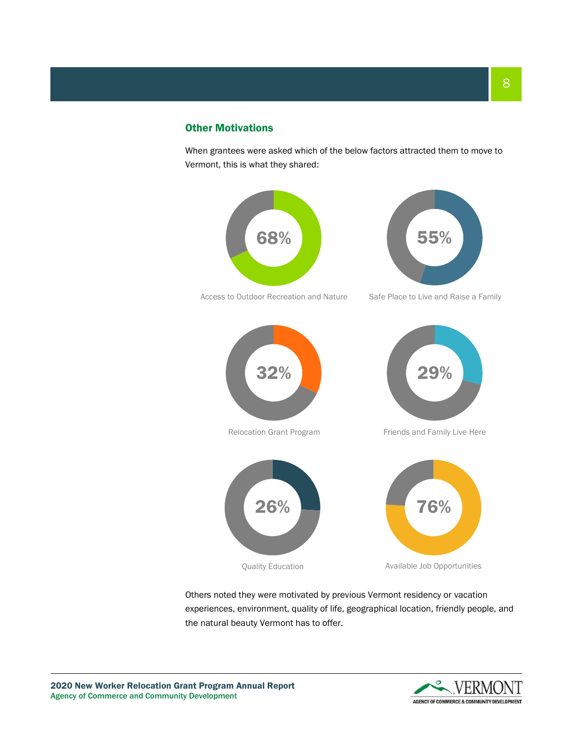#### Other Motivations

When grantees were asked which of the below factors attracted them to move to Vermont, this is what they shared:



Quality Education **Available Job Opportunities** 

Others noted they were motivated by previous Vermont residency or vacation experiences, environment, quality of life, geographical location, friendly people, and the natural beauty Vermont has to offer.

2020 New Worker Relocation Grant Program Annual Report Agency of Commerce and Community Development

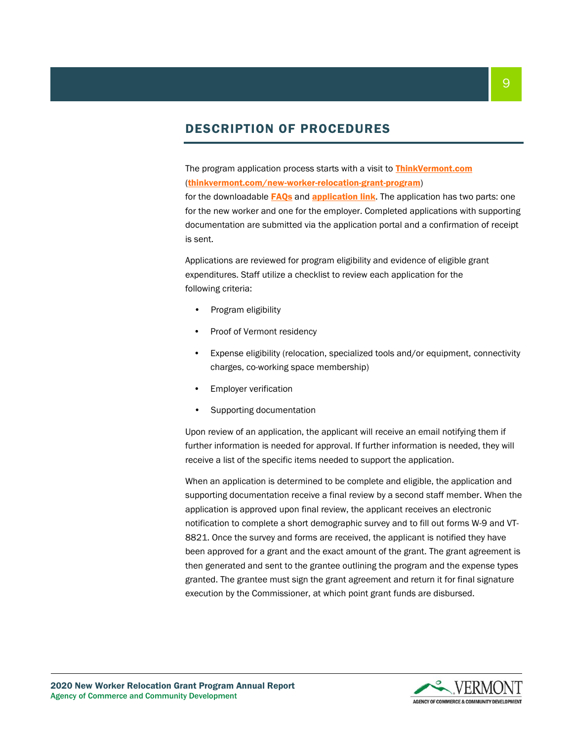# DESCRIPTION OF PROCEDURES

The program application process starts with a visit to **[ThinkVermont.com](https://www.thinkvermont.com/new-worker-relocation-grant-program/)** ([thinkvermont.com/new-worker-relocation-grant-program](https://www.thinkvermont.com/new-worker-relocation-grant-program/))

for the downloadable **[FAQs](https://www.thinkvermont.com/wp-content/uploads/2019/12/New-Worker-Relocation-Grant-Program-FAQs-v1.1.pdf?x66867)** and **[application](https://relocation.vermont.gov/) link**. The application has two parts: one for the new worker and one for the employer. Completed applications with supporting documentation are submitted via the application portal and a confirmation of receipt is sent.

Applications are reviewed for program eligibility and evidence of eligible grant expenditures. Staff utilize a checklist to review each application for the following criteria:

- Program eligibility
- Proof of Vermont residency
- Expense eligibility (relocation, specialized tools and/or equipment, connectivity charges, co-working space membership)
- Employer verification
- Supporting documentation

Upon review of an application, the applicant will receive an email notifying them if further information is needed for approval. If further information is needed, they will receive a list of the specific items needed to support the application.

When an application is determined to be complete and eligible, the application and supporting documentation receive a final review by a second staff member. When the application is approved upon final review, the applicant receives an electronic notification to complete a short demographic survey and to fill out forms W-9 and VT-8821. Once the survey and forms are received, the applicant is notified they have been approved for a grant and the exact amount of the grant. The grant agreement is then generated and sent to the grantee outlining the program and the expense types granted. The grantee must sign the grant agreement and return it for final signature execution by the Commissioner, at which point grant funds are disbursed.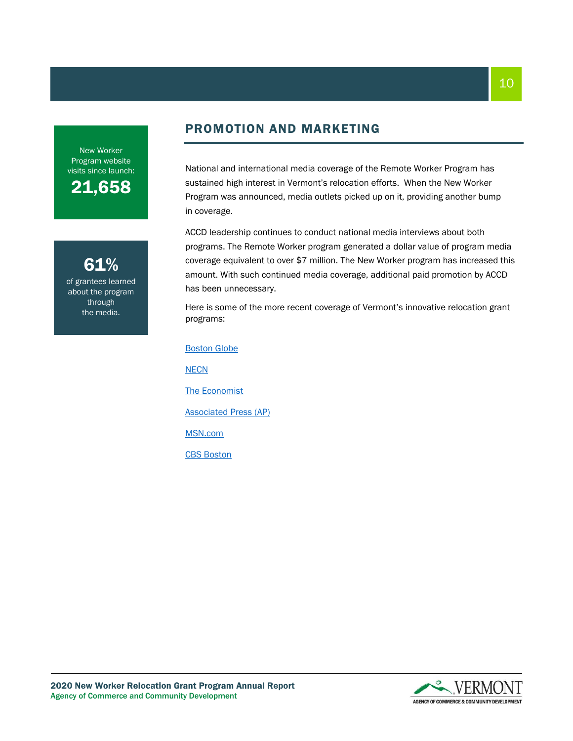New Worker Program website visits since launch:

21,658

61% of grantees learned about the program through the media.

# PROMOTION AND MARKETING

National and international media coverage of the Remote Worker Program has sustained high interest in Vermont's relocation efforts. When the New Worker Program was announced, media outlets picked up on it, providing another bump in coverage.

ACCD leadership continues to conduct national media interviews about both programs. The Remote Worker program generated a dollar value of program media coverage equivalent to over \$7 million. The New Worker program has increased this amount. With such continued media coverage, additional paid promotion by ACCD has been unnecessary.

Here is some of the more recent coverage of Vermont's innovative relocation grant programs:

[Boston Globe](https://www.bostonglobe.com/business/2019/06/04/move-vermont-get-then-what/tyxWQ3mY20doYq9zxw0D3J/story.html) **[NECN](https://www.necn.com/news/local/up-to-7500-available-to-new-vt-residents/2212391/)** [The Economist](https://go.gale.com/ps/i.do?p=GPS&u=vol_m761c&id=GALE|A615178817&v=2.1&it=r&sid=GPS&asid=0225db94) [Associated Press \(AP\)](https://apnews.com/article/5d1cd140e254fa8ec84471479d43ef8c) [MSN.com](https://www.msn.com/en-gb/news/offbeat/you-can-now-get-paid-up-to-dollar7500-to-move-to-vermont/ar-BBYw3qv) [CBS Boston](https://boston.cbslocal.com/2019/12/26/vermont-new-worker-relocation-grant-program-move-expenses/)

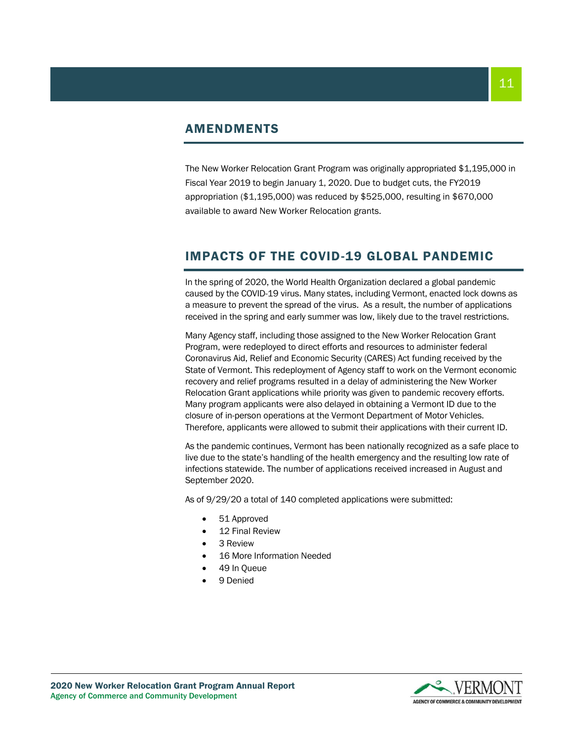## AMENDMENTS

The New Worker Relocation Grant Program was originally appropriated \$1,195,000 in Fiscal Year 2019 to begin January 1, 2020. Due to budget cuts, the FY2019 appropriation (\$1,195,000) was reduced by \$525,000, resulting in \$670,000 available to award New Worker Relocation grants.

# IMPACTS OF THE COVID-19 GLOBAL PANDEMIC

In the spring of 2020, the World Health Organization declared a global pandemic caused by the COVID-19 virus. Many states, including Vermont, enacted lock downs as a measure to prevent the spread of the virus. As a result, the number of applications received in the spring and early summer was low, likely due to the travel restrictions.

Many Agency staff, including those assigned to the New Worker Relocation Grant Program, were redeployed to direct efforts and resources to administer federal Coronavirus Aid, Relief and Economic Security (CARES) Act funding received by the State of Vermont. This redeployment of Agency staff to work on the Vermont economic recovery and relief programs resulted in a delay of administering the New Worker Relocation Grant applications while priority was given to pandemic recovery efforts. Many program applicants were also delayed in obtaining a Vermont ID due to the closure of in-person operations at the Vermont Department of Motor Vehicles. Therefore, applicants were allowed to submit their applications with their current ID.

As the pandemic continues, Vermont has been nationally recognized as a safe place to live due to the state's handling of the health emergency and the resulting low rate of infections statewide. The number of applications received increased in August and September 2020.

As of 9/29/20 a total of 140 completed applications were submitted:

- 51 Approved
- 12 Final Review
- 3 Review
- 16 More Information Needed
- 49 In Queue
- 9 Denied

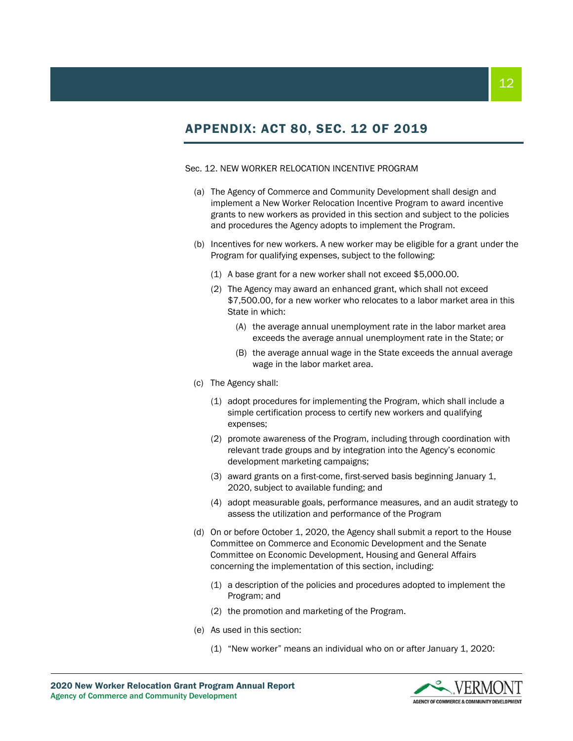# APPENDIX: ACT 80, SEC. 12 OF 2019

#### Sec. 12. NEW WORKER RELOCATION INCENTIVE PROGRAM

- (a) The Agency of Commerce and Community Development shall design and implement a New Worker Relocation Incentive Program to award incentive grants to new workers as provided in this section and subject to the policies and procedures the Agency adopts to implement the Program.
- (b) Incentives for new workers. A new worker may be eligible for a grant under the Program for qualifying expenses, subject to the following:
	- (1) A base grant for a new worker shall not exceed \$5,000.00.
	- (2) The Agency may award an enhanced grant, which shall not exceed \$7,500.00, for a new worker who relocates to a labor market area in this State in which:
		- (A) the average annual unemployment rate in the labor market area exceeds the average annual unemployment rate in the State; or
		- (B) the average annual wage in the State exceeds the annual average wage in the labor market area.
- (c) The Agency shall:
	- (1) adopt procedures for implementing the Program, which shall include a simple certification process to certify new workers and qualifying expenses;
	- (2) promote awareness of the Program, including through coordination with relevant trade groups and by integration into the Agency's economic development marketing campaigns;
	- (3) award grants on a first-come, first-served basis beginning January 1, 2020, subject to available funding; and
	- (4) adopt measurable goals, performance measures, and an audit strategy to assess the utilization and performance of the Program
- (d) On or before October 1, 2020, the Agency shall submit a report to the House Committee on Commerce and Economic Development and the Senate Committee on Economic Development, Housing and General Affairs concerning the implementation of this section, including:
	- (1) a description of the policies and procedures adopted to implement the Program; and
	- (2) the promotion and marketing of the Program.
- (e) As used in this section:
	- (1) "New worker" means an individual who on or after January 1, 2020: